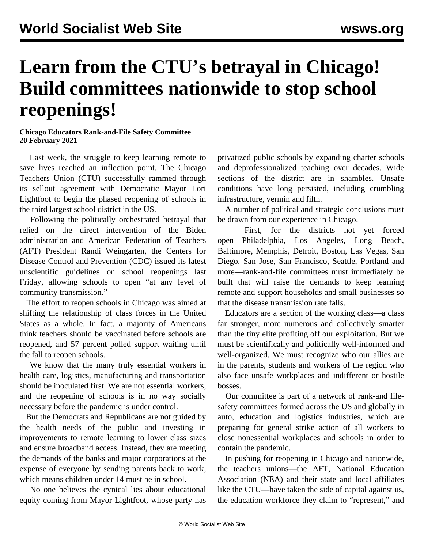## **Learn from the CTU's betrayal in Chicago! Build committees nationwide to stop school reopenings!**

## **Chicago Educators Rank-and-File Safety Committee 20 February 2021**

 Last week, the struggle to keep learning remote to save lives reached an inflection point. The Chicago Teachers Union (CTU) successfully rammed through its sellout agreement with Democratic Mayor Lori Lightfoot to begin the phased reopening of schools in the third largest school district in the US.

 Following the politically [orchestrated betrayal](/en/articles/2021/02/11/chgo-f11.html) that relied on the direct intervention of the Biden administration and American Federation of Teachers (AFT) President Randi Weingarten, the Centers for Disease Control and Prevention (CDC) issued its latest unscientific guidelines on school reopenings last Friday, allowing schools to open "at any level of community transmission."

 The effort to reopen schools in Chicago was aimed at shifting the relationship of class forces in the United States as a whole. In fact, a [majority of Americans](https://www.forbes.com/sites/jemimamcevoy/2021/02/17/most-americans-think-schools-should-wait-until-teachers-are-vaccinated-to-reopen-poll-shows/?sh=5c9a2ba52fad&fbclid=IwAR0ijh4CBiDpg4d5ir7JNBDiSkg2BqwpoHQtg9tWXckfSgufTbzyV1dZFm8) think teachers should be vaccinated before schools are reopened, and 57 percent polled support waiting until the fall to reopen schools.

 We know that the many truly essential workers in health care, logistics, manufacturing and transportation should be inoculated first. We are not essential workers, and the reopening of schools is in no way socially necessary before the pandemic is under control.

 But the Democrats and Republicans are not guided by the health needs of the public and investing in improvements to remote learning to lower class sizes and ensure broadband access. Instead, they are meeting the demands of the banks and major corporations at the expense of everyone by sending parents back to work, which means children under 14 must be in school.

 No one believes the cynical lies about educational equity coming from Mayor Lightfoot, whose party has privatized public schools by expanding charter schools and deprofessionalized teaching over decades. Wide sections of the district are in shambles. Unsafe conditions have long persisted, including crumbling infrastructure, [vermin and filth](/en/articles/2014/10/18/cps-o18.html).

 A number of political and strategic conclusions must be drawn from our experience in Chicago.

 First, for the districts not yet forced open—Philadelphia, Los Angeles, Long Beach, Baltimore, Memphis, Detroit, Boston, Las Vegas, San Diego, San Jose, San Francisco, Seattle, Portland and more—rank-and-file committees must immediately be built that will raise the demands to keep learning remote and support households and small businesses so that the disease transmission rate falls.

 Educators are a section of the working class—a class far stronger, more numerous and collectively smarter than the tiny elite profiting off our exploitation. But we must be scientifically and politically well-informed and well-organized. We must recognize who our allies are in the parents, students and workers of the region who also face unsafe workplaces and indifferent or hostile bosses.

 Our committee is part of a [network of rank-and file](/edsafety)[safety committees](/edsafety) formed across the US and globally in auto, education and logistics industries, which are preparing for general strike action of all workers to close nonessential workplaces and schools in order to contain the pandemic.

 In pushing for reopening in Chicago and nationwide, the teachers unions—the AFT, National Education Association (NEA) and their state and local affiliates like the CTU—have taken the side of capital against us, the education workforce they claim to "represent," and